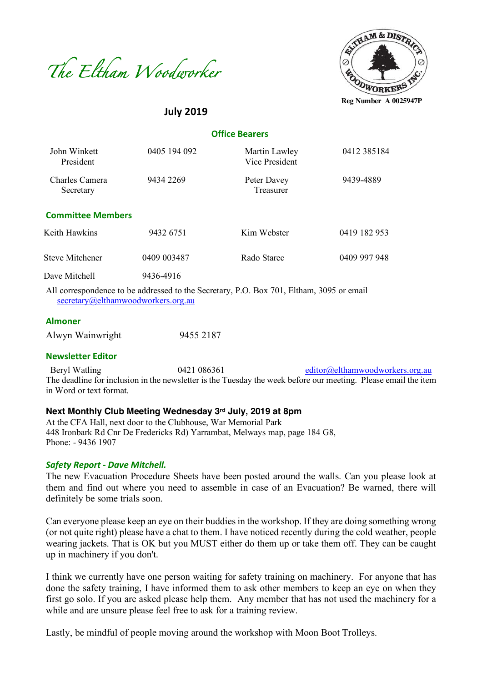



# **July 2019**

| <b>Office Bearers</b> |  |
|-----------------------|--|
|-----------------------|--|

| John Winkett<br>President   | 0405 194 092 | Martin Lawley<br><b>Vice President</b>                                              | 0412 385184  |
|-----------------------------|--------------|-------------------------------------------------------------------------------------|--------------|
| Charles Camera<br>Secretary | 9434 2269    | Peter Davey<br>Treasurer                                                            | 9439-4889    |
| <b>Committee Members</b>    |              |                                                                                     |              |
| Keith Hawkins               | 9432 6751    | Kim Webster                                                                         | 0419 182 953 |
| <b>Steve Mitchener</b>      | 0409 003487  | Rado Starec                                                                         | 0409 997 948 |
| Dave Mitchell               | 9436-4916    |                                                                                     |              |
|                             |              | All convenient in a calculated to the Question. D.O. Den 701. Eldern 2005 on and 1. |              |

All correspondence to be addressed to the Secretary, P.O. Box 701, Eltham, 3095 or email secretary@elthamwoodworkers.org.au

#### **Almoner**

| Alwyn Wainwright | 9455 2187 |
|------------------|-----------|
|                  |           |

#### **Newsletter Editor**

Beryl Watling 0421 086361 editor@elthamwoodworkers.org.au The deadline for inclusion in the newsletter is the Tuesday the week before our meeting. Please email the item in Word or text format.

#### **Next Monthly Club Meeting Wednesday 3rd July, 2019 at 8pm**

At the CFA Hall, next door to the Clubhouse, War Memorial Park 448 Ironbark Rd Cnr De Fredericks Rd) Yarrambat, Melways map, page 184 G8, Phone: - 9436 1907

#### *Safety Report - Dave Mitchell.*

The new Evacuation Procedure Sheets have been posted around the walls. Can you please look at them and find out where you need to assemble in case of an Evacuation? Be warned, there will definitely be some trials soon.

Can everyone please keep an eye on their buddies in the workshop. If they are doing something wrong (or not quite right) please have a chat to them. I have noticed recently during the cold weather, people wearing jackets. That is OK but you MUST either do them up or take them off. They can be caught up in machinery if you don't.

I think we currently have one person waiting for safety training on machinery. For anyone that has done the safety training, I have informed them to ask other members to keep an eye on when they first go solo. If you are asked please help them. Any member that has not used the machinery for a while and are unsure please feel free to ask for a training review.

Lastly, be mindful of people moving around the workshop with Moon Boot Trolleys.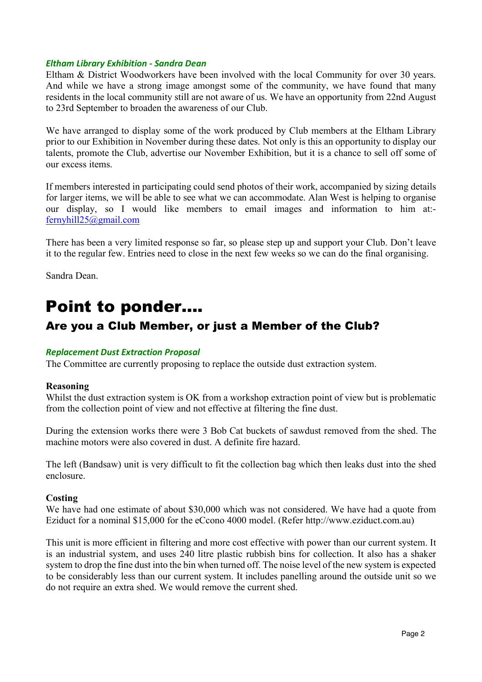#### *Eltham Library Exhibition - Sandra Dean*

Eltham & District Woodworkers have been involved with the local Community for over 30 years. And while we have a strong image amongst some of the community, we have found that many residents in the local community still are not aware of us. We have an opportunity from 22nd August to 23rd September to broaden the awareness of our Club.

We have arranged to display some of the work produced by Club members at the Eltham Library prior to our Exhibition in November during these dates. Not only is this an opportunity to display our talents, promote the Club, advertise our November Exhibition, but it is a chance to sell off some of our excess items.

If members interested in participating could send photos of their work, accompanied by sizing details for larger items, we will be able to see what we can accommodate. Alan West is helping to organise our display, so I would like members to email images and information to him at: fernyhill25@gmail.com

There has been a very limited response so far, so please step up and support your Club. Don't leave it to the regular few. Entries need to close in the next few weeks so we can do the final organising.

Sandra Dean.

# Point to ponder….

# Are you a Club Member, or just a Member of the Club?

# *Replacement Dust Extraction Proposal*

The Committee are currently proposing to replace the outside dust extraction system.

#### **Reasoning**

Whilst the dust extraction system is OK from a workshop extraction point of view but is problematic from the collection point of view and not effective at filtering the fine dust.

During the extension works there were 3 Bob Cat buckets of sawdust removed from the shed. The machine motors were also covered in dust. A definite fire hazard.

The left (Bandsaw) unit is very difficult to fit the collection bag which then leaks dust into the shed enclosure.

#### **Costing**

We have had one estimate of about \$30,000 which was not considered. We have had a quote from Eziduct for a nominal \$15,000 for the eCcono 4000 model. (Refer http://www.eziduct.com.au)

This unit is more efficient in filtering and more cost effective with power than our current system. It is an industrial system, and uses 240 litre plastic rubbish bins for collection. It also has a shaker system to drop the fine dust into the bin when turned off. The noise level of the new system is expected to be considerably less than our current system. It includes panelling around the outside unit so we do not require an extra shed. We would remove the current shed.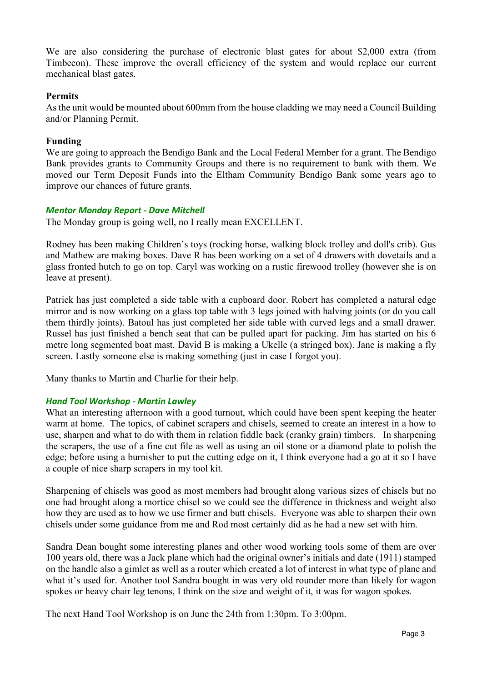We are also considering the purchase of electronic blast gates for about \$2,000 extra (from Timbecon). These improve the overall efficiency of the system and would replace our current mechanical blast gates.

# **Permits**

As the unit would be mounted about 600mm from the house cladding we may need a Council Building and/or Planning Permit.

# **Funding**

We are going to approach the Bendigo Bank and the Local Federal Member for a grant. The Bendigo Bank provides grants to Community Groups and there is no requirement to bank with them. We moved our Term Deposit Funds into the Eltham Community Bendigo Bank some years ago to improve our chances of future grants.

# *Mentor Monday Report - Dave Mitchell*

The Monday group is going well, no I really mean EXCELLENT.

Rodney has been making Children's toys (rocking horse, walking block trolley and doll's crib). Gus and Mathew are making boxes. Dave R has been working on a set of 4 drawers with dovetails and a glass fronted hutch to go on top. Caryl was working on a rustic firewood trolley (however she is on leave at present).

Patrick has just completed a side table with a cupboard door. Robert has completed a natural edge mirror and is now working on a glass top table with 3 legs joined with halving joints (or do you call them thirdly joints). Batoul has just completed her side table with curved legs and a small drawer. Russel has just finished a bench seat that can be pulled apart for packing. Jim has started on his 6 metre long segmented boat mast. David B is making a Ukelle (a stringed box). Jane is making a fly screen. Lastly someone else is making something (just in case I forgot you).

Many thanks to Martin and Charlie for their help.

# *Hand Tool Workshop - Martin Lawley*

What an interesting afternoon with a good turnout, which could have been spent keeping the heater warm at home. The topics, of cabinet scrapers and chisels, seemed to create an interest in a how to use, sharpen and what to do with them in relation fiddle back (cranky grain) timbers. In sharpening the scrapers, the use of a fine cut file as well as using an oil stone or a diamond plate to polish the edge; before using a burnisher to put the cutting edge on it, I think everyone had a go at it so I have a couple of nice sharp scrapers in my tool kit.

Sharpening of chisels was good as most members had brought along various sizes of chisels but no one had brought along a mortice chisel so we could see the difference in thickness and weight also how they are used as to how we use firmer and butt chisels. Everyone was able to sharpen their own chisels under some guidance from me and Rod most certainly did as he had a new set with him.

Sandra Dean bought some interesting planes and other wood working tools some of them are over 100 years old, there was a Jack plane which had the original owner's initials and date (1911) stamped on the handle also a gimlet as well as a router which created a lot of interest in what type of plane and what it's used for. Another tool Sandra bought in was very old rounder more than likely for wagon spokes or heavy chair leg tenons, I think on the size and weight of it, it was for wagon spokes.

The next Hand Tool Workshop is on June the 24th from 1:30pm. To 3:00pm.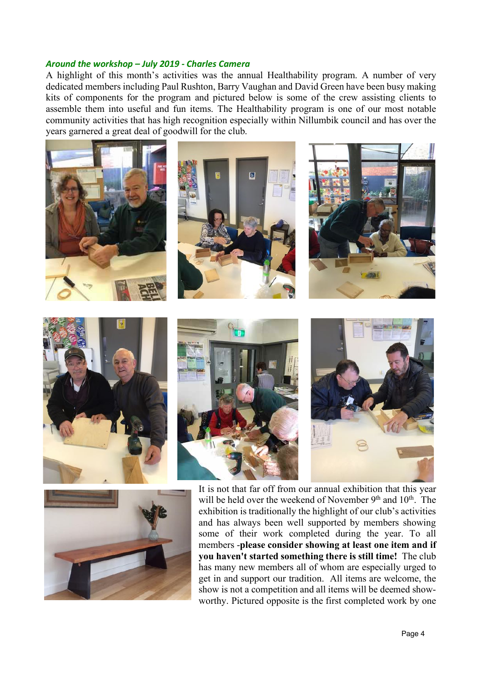#### *Around the workshop – July 2019 - Charles Camera*

A highlight of this month's activities was the annual Healthability program. A number of very dedicated members including Paul Rushton, Barry Vaughan and David Green have been busy making kits of components for the program and pictured below is some of the crew assisting clients to assemble them into useful and fun items. The Healthability program is one of our most notable community activities that has high recognition especially within Nillumbik council and has over the years garnered a great deal of goodwill for the club.





will be held over the weekend of November 9<sup>th</sup> and 10<sup>th</sup>. The exhibition is traditionally the highlight of our club's activities and has always been well supported by members showing some of their work completed during the year. To all members -**please consider showing at least one item and if you haven't started something there is still time!** The club has many new members all of whom are especially urged to get in and support our tradition. All items are welcome, the show is not a competition and all items will be deemed showworthy. Pictured opposite is the first completed work by one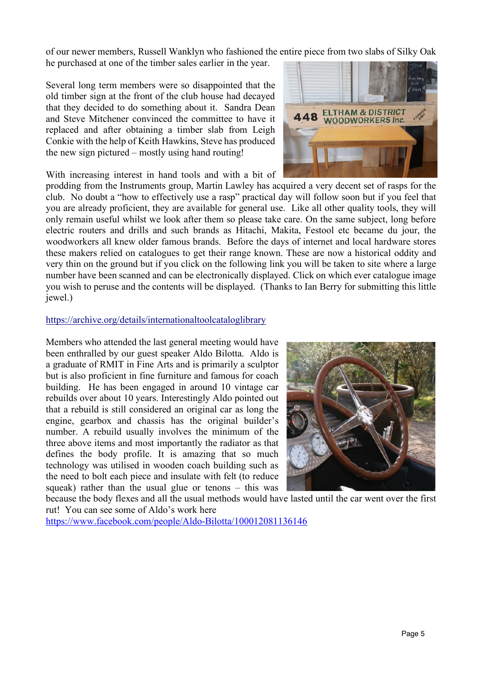of our newer members, Russell Wanklyn who fashioned the entire piece from two slabs of Silky Oak

he purchased at one of the timber sales earlier in the year.

Several long term members were so disappointed that the old timber sign at the front of the club house had decayed that they decided to do something about it. Sandra Dean and Steve Mitchener convinced the committee to have it replaced and after obtaining a timber slab from Leigh Conkie with the help of Keith Hawkins, Steve has produced the new sign pictured – mostly using hand routing!

With increasing interest in hand tools and with a bit of

prodding from the Instruments group, Martin Lawley has acquired a very decent set of rasps for the club. No doubt a "how to effectively use a rasp" practical day will follow soon but if you feel that you are already proficient, they are available for general use. Like all other quality tools, they will only remain useful whilst we look after them so please take care. On the same subject, long before electric routers and drills and such brands as Hitachi, Makita, Festool etc became du jour, the woodworkers all knew older famous brands. Before the days of internet and local hardware stores these makers relied on catalogues to get their range known. These are now a historical oddity and very thin on the ground but if you click on the following link you will be taken to site where a large number have been scanned and can be electronically displayed. Click on which ever catalogue image you wish to peruse and the contents will be displayed. (Thanks to Ian Berry for submitting this little jewel.)

# https://archive.org/details/internationaltoolcataloglibrary

Members who attended the last general meeting would have been enthralled by our guest speaker Aldo Bilotta. Aldo is a graduate of RMIT in Fine Arts and is primarily a sculptor but is also proficient in fine furniture and famous for coach building. He has been engaged in around 10 vintage car rebuilds over about 10 years. Interestingly Aldo pointed out that a rebuild is still considered an original car as long the engine, gearbox and chassis has the original builder's number. A rebuild usually involves the minimum of the three above items and most importantly the radiator as that defines the body profile. It is amazing that so much technology was utilised in wooden coach building such as the need to bolt each piece and insulate with felt (to reduce squeak) rather than the usual glue or tenons – this was



because the body flexes and all the usual methods would have lasted until the car went over the first rut! You can see some of Aldo's work here

https://www.facebook.com/people/Aldo-Bilotta/100012081136146

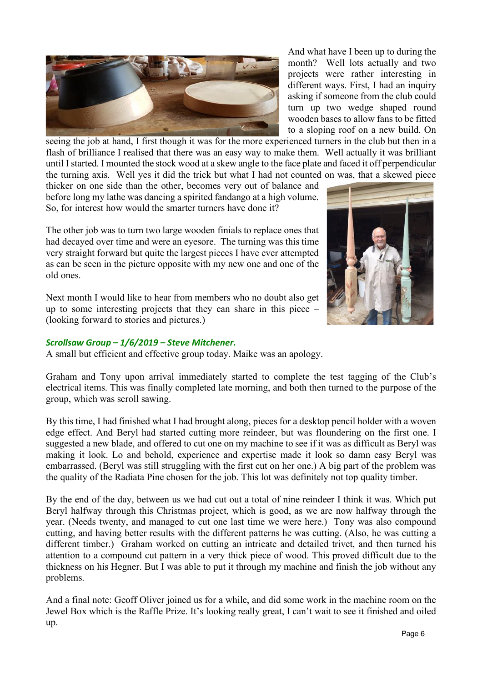

And what have I been up to during the month? Well lots actually and two projects were rather interesting in different ways. First, I had an inquiry asking if someone from the club could turn up two wedge shaped round wooden bases to allow fans to be fitted to a sloping roof on a new build. On

seeing the job at hand, I first though it was for the more experienced turners in the club but then in a flash of brilliance I realised that there was an easy way to make them. Well actually it was brilliant until I started. I mounted the stock wood at a skew angle to the face plate and faced it off perpendicular the turning axis. Well yes it did the trick but what I had not counted on was, that a skewed piece

thicker on one side than the other, becomes very out of balance and before long my lathe was dancing a spirited fandango at a high volume. So, for interest how would the smarter turners have done it?

The other job was to turn two large wooden finials to replace ones that had decayed over time and were an eyesore. The turning was this time very straight forward but quite the largest pieces I have ever attempted as can be seen in the picture opposite with my new one and one of the old ones.

Next month I would like to hear from members who no doubt also get up to some interesting projects that they can share in this piece – (looking forward to stories and pictures.)

# *Scrollsaw Group – 1/6/2019 – Steve Mitchener.*

A small but efficient and effective group today. Maike was an apology.

Graham and Tony upon arrival immediately started to complete the test tagging of the Club's electrical items. This was finally completed late morning, and both then turned to the purpose of the group, which was scroll sawing.

By this time, I had finished what I had brought along, pieces for a desktop pencil holder with a woven edge effect. And Beryl had started cutting more reindeer, but was floundering on the first one. I suggested a new blade, and offered to cut one on my machine to see if it was as difficult as Beryl was making it look. Lo and behold, experience and expertise made it look so damn easy Beryl was embarrassed. (Beryl was still struggling with the first cut on her one.) A big part of the problem was the quality of the Radiata Pine chosen for the job. This lot was definitely not top quality timber.

By the end of the day, between us we had cut out a total of nine reindeer I think it was. Which put Beryl halfway through this Christmas project, which is good, as we are now halfway through the year. (Needs twenty, and managed to cut one last time we were here.) Tony was also compound cutting, and having better results with the different patterns he was cutting. (Also, he was cutting a different timber.) Graham worked on cutting an intricate and detailed trivet, and then turned his attention to a compound cut pattern in a very thick piece of wood. This proved difficult due to the thickness on his Hegner. But I was able to put it through my machine and finish the job without any problems.

And a final note: Geoff Oliver joined us for a while, and did some work in the machine room on the Jewel Box which is the Raffle Prize. It's looking really great, I can't wait to see it finished and oiled up.

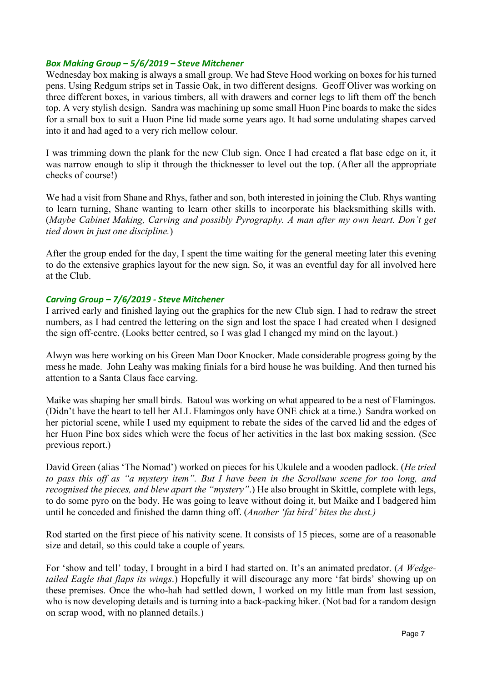#### *Box Making Group – 5/6/2019 – Steve Mitchener*

Wednesday box making is always a small group. We had Steve Hood working on boxes for his turned pens. Using Redgum strips set in Tassie Oak, in two different designs. Geoff Oliver was working on three different boxes, in various timbers, all with drawers and corner legs to lift them off the bench top. A very stylish design. Sandra was machining up some small Huon Pine boards to make the sides for a small box to suit a Huon Pine lid made some years ago. It had some undulating shapes carved into it and had aged to a very rich mellow colour.

I was trimming down the plank for the new Club sign. Once I had created a flat base edge on it, it was narrow enough to slip it through the thicknesser to level out the top. (After all the appropriate checks of course!)

We had a visit from Shane and Rhys, father and son, both interested in joining the Club. Rhys wanting to learn turning, Shane wanting to learn other skills to incorporate his blacksmithing skills with. (*Maybe Cabinet Making, Carving and possibly Pyrography. A man after my own heart. Don't get tied down in just one discipline.*)

After the group ended for the day, I spent the time waiting for the general meeting later this evening to do the extensive graphics layout for the new sign. So, it was an eventful day for all involved here at the Club.

#### *Carving Group – 7/6/2019 - Steve Mitchener*

I arrived early and finished laying out the graphics for the new Club sign. I had to redraw the street numbers, as I had centred the lettering on the sign and lost the space I had created when I designed the sign off-centre. (Looks better centred, so I was glad I changed my mind on the layout.)

Alwyn was here working on his Green Man Door Knocker. Made considerable progress going by the mess he made. John Leahy was making finials for a bird house he was building. And then turned his attention to a Santa Claus face carving.

Maike was shaping her small birds. Batoul was working on what appeared to be a nest of Flamingos. (Didn't have the heart to tell her ALL Flamingos only have ONE chick at a time.) Sandra worked on her pictorial scene, while I used my equipment to rebate the sides of the carved lid and the edges of her Huon Pine box sides which were the focus of her activities in the last box making session. (See previous report.)

David Green (alias 'The Nomad') worked on pieces for his Ukulele and a wooden padlock. (*He tried to pass this off as "a mystery item". But I have been in the Scrollsaw scene for too long, and recognised the pieces, and blew apart the "mystery"*.) He also brought in Skittle, complete with legs, to do some pyro on the body. He was going to leave without doing it, but Maike and I badgered him until he conceded and finished the damn thing off. (*Another 'fat bird' bites the dust.)*

Rod started on the first piece of his nativity scene. It consists of 15 pieces, some are of a reasonable size and detail, so this could take a couple of years.

For 'show and tell' today, I brought in a bird I had started on. It's an animated predator. (*A Wedgetailed Eagle that flaps its wings*.) Hopefully it will discourage any more 'fat birds' showing up on these premises. Once the who-hah had settled down, I worked on my little man from last session, who is now developing details and is turning into a back-packing hiker. (Not bad for a random design on scrap wood, with no planned details.)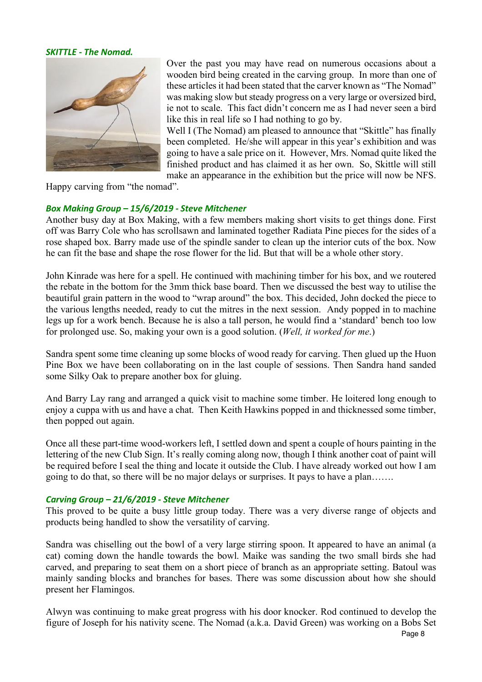#### *SKITTLE - The Nomad.*



Over the past you may have read on numerous occasions about a wooden bird being created in the carving group. In more than one of these articles it had been stated that the carver known as "The Nomad" was making slow but steady progress on a very large or oversized bird, ie not to scale. This fact didn't concern me as I had never seen a bird like this in real life so I had nothing to go by.

Well I (The Nomad) am pleased to announce that "Skittle" has finally been completed. He/she will appear in this year's exhibition and was going to have a sale price on it. However, Mrs. Nomad quite liked the finished product and has claimed it as her own. So, Skittle will still make an appearance in the exhibition but the price will now be NFS.

Happy carving from "the nomad".

# *Box Making Group – 15/6/2019 - Steve Mitchener*

Another busy day at Box Making, with a few members making short visits to get things done. First off was Barry Cole who has scrollsawn and laminated together Radiata Pine pieces for the sides of a rose shaped box. Barry made use of the spindle sander to clean up the interior cuts of the box. Now he can fit the base and shape the rose flower for the lid. But that will be a whole other story.

John Kinrade was here for a spell. He continued with machining timber for his box, and we routered the rebate in the bottom for the 3mm thick base board. Then we discussed the best way to utilise the beautiful grain pattern in the wood to "wrap around" the box. This decided, John docked the piece to the various lengths needed, ready to cut the mitres in the next session. Andy popped in to machine legs up for a work bench. Because he is also a tall person, he would find a 'standard' bench too low for prolonged use. So, making your own is a good solution. (*Well, it worked for me*.)

Sandra spent some time cleaning up some blocks of wood ready for carving. Then glued up the Huon Pine Box we have been collaborating on in the last couple of sessions. Then Sandra hand sanded some Silky Oak to prepare another box for gluing.

And Barry Lay rang and arranged a quick visit to machine some timber. He loitered long enough to enjoy a cuppa with us and have a chat. Then Keith Hawkins popped in and thicknessed some timber, then popped out again.

Once all these part-time wood-workers left, I settled down and spent a couple of hours painting in the lettering of the new Club Sign. It's really coming along now, though I think another coat of paint will be required before I seal the thing and locate it outside the Club. I have already worked out how I am going to do that, so there will be no major delays or surprises. It pays to have a plan…….

# *Carving Group – 21/6/2019 - Steve Mitchener*

This proved to be quite a busy little group today. There was a very diverse range of objects and products being handled to show the versatility of carving.

Sandra was chiselling out the bowl of a very large stirring spoon. It appeared to have an animal (a cat) coming down the handle towards the bowl. Maike was sanding the two small birds she had carved, and preparing to seat them on a short piece of branch as an appropriate setting. Batoul was mainly sanding blocks and branches for bases. There was some discussion about how she should present her Flamingos.

Alwyn was continuing to make great progress with his door knocker. Rod continued to develop the figure of Joseph for his nativity scene. The Nomad (a.k.a. David Green) was working on a Bobs Set